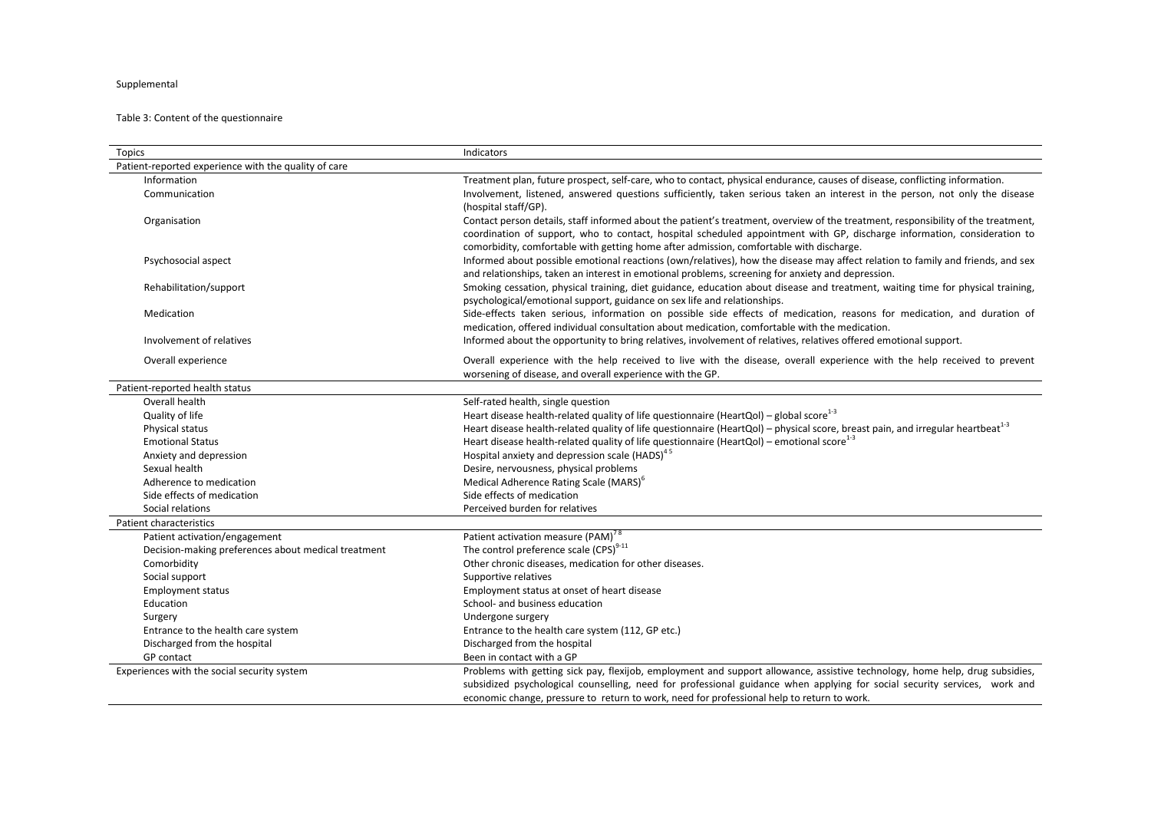## Supplemental

## Table 3: Content of the questionnaire

| <b>Topics</b>                                        | Indicators                                                                                                                                                                                                                                                                                                                                               |
|------------------------------------------------------|----------------------------------------------------------------------------------------------------------------------------------------------------------------------------------------------------------------------------------------------------------------------------------------------------------------------------------------------------------|
| Patient-reported experience with the quality of care |                                                                                                                                                                                                                                                                                                                                                          |
| Information                                          | Treatment plan, future prospect, self-care, who to contact, physical endurance, causes of disease, conflicting information.                                                                                                                                                                                                                              |
| Communication                                        | Involvement, listened, answered questions sufficiently, taken serious taken an interest in the person, not only the disease<br>(hospital staff/GP).                                                                                                                                                                                                      |
| Organisation                                         | Contact person details, staff informed about the patient's treatment, overview of the treatment, responsibility of the treatment,<br>coordination of support, who to contact, hospital scheduled appointment with GP, discharge information, consideration to<br>comorbidity, comfortable with getting home after admission, comfortable with discharge. |
| Psychosocial aspect                                  | Informed about possible emotional reactions (own/relatives), how the disease may affect relation to family and friends, and sex<br>and relationships, taken an interest in emotional problems, screening for anxiety and depression.                                                                                                                     |
| Rehabilitation/support                               | Smoking cessation, physical training, diet guidance, education about disease and treatment, waiting time for physical training,<br>psychological/emotional support, guidance on sex life and relationships.                                                                                                                                              |
| Medication                                           | Side-effects taken serious, information on possible side effects of medication, reasons for medication, and duration of<br>medication, offered individual consultation about medication, comfortable with the medication.                                                                                                                                |
| Involvement of relatives                             | Informed about the opportunity to bring relatives, involvement of relatives, relatives offered emotional support.                                                                                                                                                                                                                                        |
| Overall experience                                   | Overall experience with the help received to live with the disease, overall experience with the help received to prevent<br>worsening of disease, and overall experience with the GP.                                                                                                                                                                    |
| Patient-reported health status                       |                                                                                                                                                                                                                                                                                                                                                          |
| Overall health                                       | Self-rated health, single question                                                                                                                                                                                                                                                                                                                       |
| Quality of life                                      | Heart disease health-related quality of life questionnaire (HeartQol) - global score <sup>1-3</sup>                                                                                                                                                                                                                                                      |
| Physical status                                      | Heart disease health-related quality of life questionnaire (HeartQol) - physical score, breast pain, and irregular heartbeat <sup>1-3</sup>                                                                                                                                                                                                              |
| <b>Emotional Status</b>                              | Heart disease health-related quality of life questionnaire (HeartQol) – emotional score <sup>1-3</sup>                                                                                                                                                                                                                                                   |
| Anxiety and depression                               | Hospital anxiety and depression scale (HADS) <sup>45</sup>                                                                                                                                                                                                                                                                                               |
| Sexual health                                        | Desire, nervousness, physical problems                                                                                                                                                                                                                                                                                                                   |
| Adherence to medication                              | Medical Adherence Rating Scale (MARS) <sup>6</sup>                                                                                                                                                                                                                                                                                                       |
| Side effects of medication                           | Side effects of medication                                                                                                                                                                                                                                                                                                                               |
| Social relations                                     | Perceived burden for relatives                                                                                                                                                                                                                                                                                                                           |
| Patient characteristics                              |                                                                                                                                                                                                                                                                                                                                                          |
| Patient activation/engagement                        | Patient activation measure (PAM) <sup>78</sup>                                                                                                                                                                                                                                                                                                           |
| Decision-making preferences about medical treatment  | The control preference scale (CPS) <sup>9-11</sup>                                                                                                                                                                                                                                                                                                       |
| Comorbidity                                          | Other chronic diseases, medication for other diseases.                                                                                                                                                                                                                                                                                                   |
| Social support                                       | Supportive relatives                                                                                                                                                                                                                                                                                                                                     |
| <b>Employment status</b>                             | Employment status at onset of heart disease                                                                                                                                                                                                                                                                                                              |
| Education                                            | School- and business education                                                                                                                                                                                                                                                                                                                           |
| Surgery                                              | Undergone surgery                                                                                                                                                                                                                                                                                                                                        |
| Entrance to the health care system                   | Entrance to the health care system (112, GP etc.)                                                                                                                                                                                                                                                                                                        |
| Discharged from the hospital                         | Discharged from the hospital                                                                                                                                                                                                                                                                                                                             |
| GP contact                                           | Been in contact with a GP                                                                                                                                                                                                                                                                                                                                |
| Experiences with the social security system          | Problems with getting sick pay, flexijob, employment and support allowance, assistive technology, home help, drug subsidies,                                                                                                                                                                                                                             |
|                                                      | subsidized psychological counselling, need for professional guidance when applying for social security services, work and                                                                                                                                                                                                                                |
|                                                      | economic change, pressure to return to work, need for professional help to return to work.                                                                                                                                                                                                                                                               |